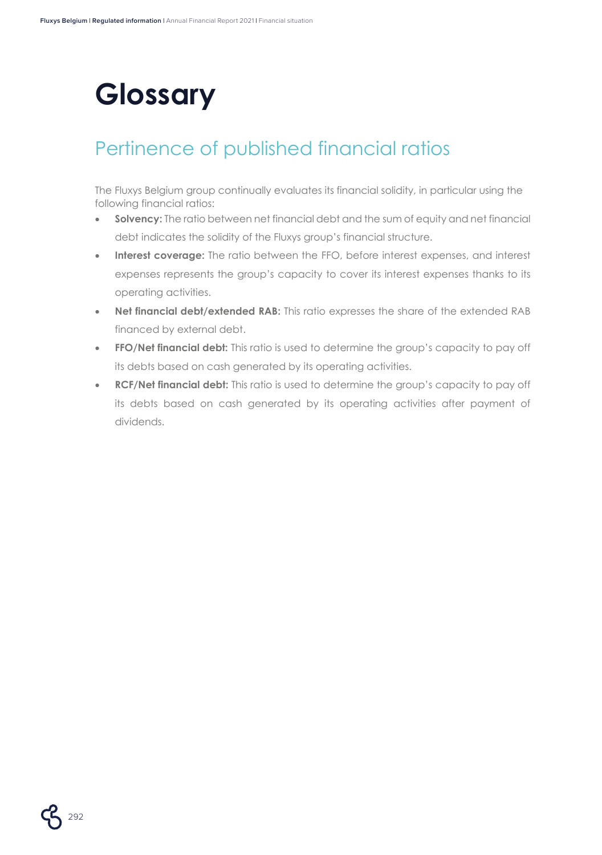# **Glossary**

### Pertinence of published financial ratios

The Fluxys Belgium group continually evaluates its financial solidity, in particular using the following financial ratios:

- **Solvency:** The ratio between net financial debt and the sum of equity and net financial debt indicates the solidity of the Fluxys group's financial structure.
- **Interest coverage:** The ratio between the FFO, before interest expenses, and interest expenses represents the group's capacity to cover its interest expenses thanks to its operating activities.
- **Net financial debt/extended RAB:** This ratio expresses the share of the extended RAB financed by external debt.
- **FFO/Net financial debt:** This ratio is used to determine the group's capacity to pay off its debts based on cash generated by its operating activities.
- **RCF/Net financial debt:** This ratio is used to determine the group's capacity to pay off its debts based on cash generated by its operating activities after payment of dividends.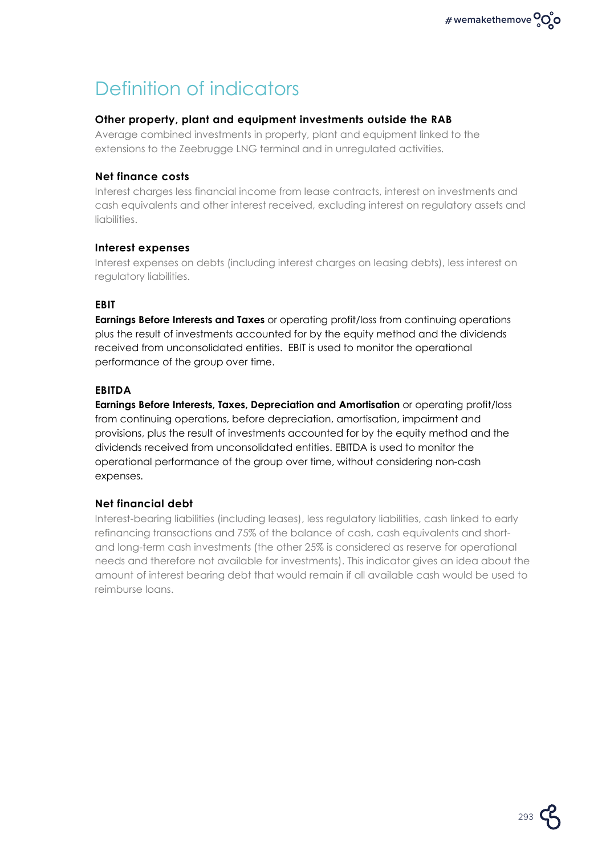## Definition of indicators

#### **Other property, plant and equipment investments outside the RAB**

Average combined investments in property, plant and equipment linked to the extensions to the Zeebrugge LNG terminal and in unregulated activities.

#### **Net finance costs**

Interest charges less financial income from lease contracts, interest on investments and cash equivalents and other interest received, excluding interest on regulatory assets and liabilities.

#### **Interest expenses**

Interest expenses on debts (including interest charges on leasing debts), less interest on regulatory liabilities.

#### **EBIT**

**Earnings Before Interests and Taxes** or operating profit/loss from continuing operations plus the result of investments accounted for by the equity method and the dividends received from unconsolidated entities. EBIT is used to monitor the operational performance of the group over time.

#### **EBITDA**

**Earnings Before Interests, Taxes, Depreciation and Amortisation** or operating profit/loss from continuing operations, before depreciation, amortisation, impairment and provisions, plus the result of investments accounted for by the equity method and the dividends received from unconsolidated entities. EBITDA is used to monitor the operational performance of the group over time, without considering non-cash expenses.

#### **Net financial debt**

Interest-bearing liabilities (including leases), less regulatory liabilities, cash linked to early refinancing transactions and 75% of the balance of cash, cash equivalents and shortand long-term cash investments (the other 25% is considered as reserve for operational needs and therefore not available for investments). This indicator gives an idea about the amount of interest bearing debt that would remain if all available cash would be used to reimburse loans.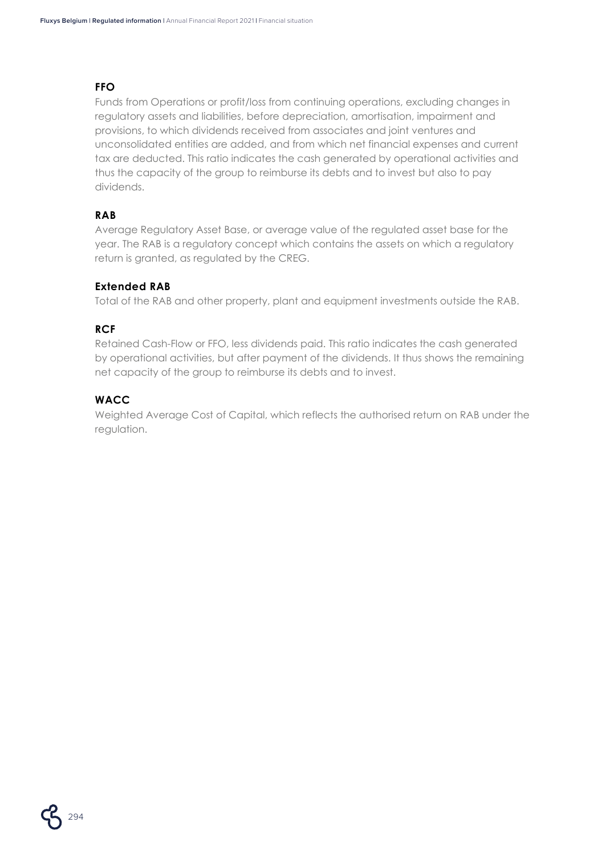#### **FFO**

Funds from Operations or profit/loss from continuing operations, excluding changes in regulatory assets and liabilities, before depreciation, amortisation, impairment and provisions, to which dividends received from associates and joint ventures and unconsolidated entities are added, and from which net financial expenses and current tax are deducted. This ratio indicates the cash generated by operational activities and thus the capacity of the group to reimburse its debts and to invest but also to pay dividends.

#### **RAB**

Average Regulatory Asset Base, or average value of the regulated asset base for the year. The RAB is a regulatory concept which contains the assets on which a regulatory return is granted, as regulated by the CREG.

#### **Extended RAB**

Total of the RAB and other property, plant and equipment investments outside the RAB.

#### **RCF**

Retained Cash-Flow or FFO, less dividends paid. This ratio indicates the cash generated by operational activities, but after payment of the dividends. It thus shows the remaining net capacity of the group to reimburse its debts and to invest.

#### **WACC**

Weighted Average Cost of Capital, which reflects the authorised return on RAB under the regulation.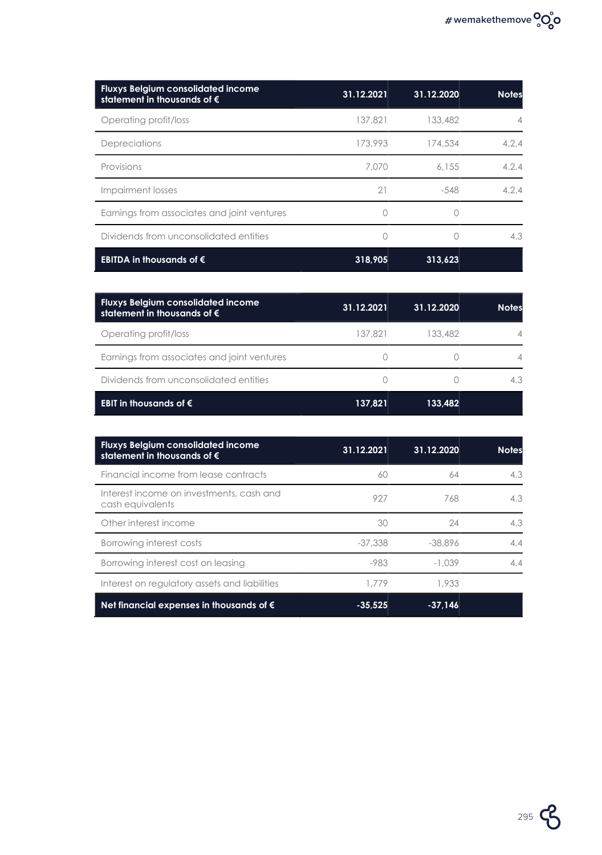| <b>Fluxys Belgium consolidated income</b><br>statement in thousands of $\epsilon$ | 31.12.2021 | 31.12.2020 | <b>Notes</b> |
|-----------------------------------------------------------------------------------|------------|------------|--------------|
| Operating profit/loss                                                             | 137,821    | 133,482    | 4            |
| Depreciations                                                                     | 173,993    | 174,534    | 4.2.4        |
| Provisions                                                                        | 7.070      | 6.155      | 4.2.4        |
| Impairment losses                                                                 | 21         | $-548$     | 4.2.4        |
| Earnings from associates and joint ventures                                       |            |            |              |
| Dividends from unconsolidated entities                                            | 0          |            | 4.3          |
| EBITDA in thousands of $\epsilon$                                                 | 318,905    | 313,623    |              |

| <b>Fluxys Belgium consolidated income</b><br>statement in thousands of $\bm{\epsilon}$ | 31.12.2021 | 31.12.2020 | <b>Notes</b> |
|----------------------------------------------------------------------------------------|------------|------------|--------------|
| Operating profit/loss                                                                  | 137.821    | 133.482    | 4            |
| Earnings from associates and joint ventures                                            |            |            |              |
| Dividends from unconsolidated entities                                                 |            |            | 4.3          |
| EBIT in thousands of $\epsilon$                                                        | 137,821    | 133.482    |              |

| <b>Fluxys Belgium consolidated income</b><br>statement in thousands of $\epsilon$ | 31.12.2021 | 31.12.2020 | <b>Notes</b> |
|-----------------------------------------------------------------------------------|------------|------------|--------------|
| Financial income from lease contracts                                             | 60         | 64         | 4.3          |
| Interest income on investments, cash and<br>cash equivalents                      | 927        | 768        | 4.3          |
| Other interest income                                                             | 30         | 24         | 4.3          |
| Borrowing interest costs                                                          | $-37.338$  | $-38.896$  | 4.4          |
| Borrowing interest cost on leasing                                                | $-983$     | $-1.039$   | 4.4          |
| Interest on regulatory assets and liabilities                                     | 1.779      | 1,933      |              |
| Net financial expenses in thousands of $\epsilon$                                 | $-35.525$  | $-37.146$  |              |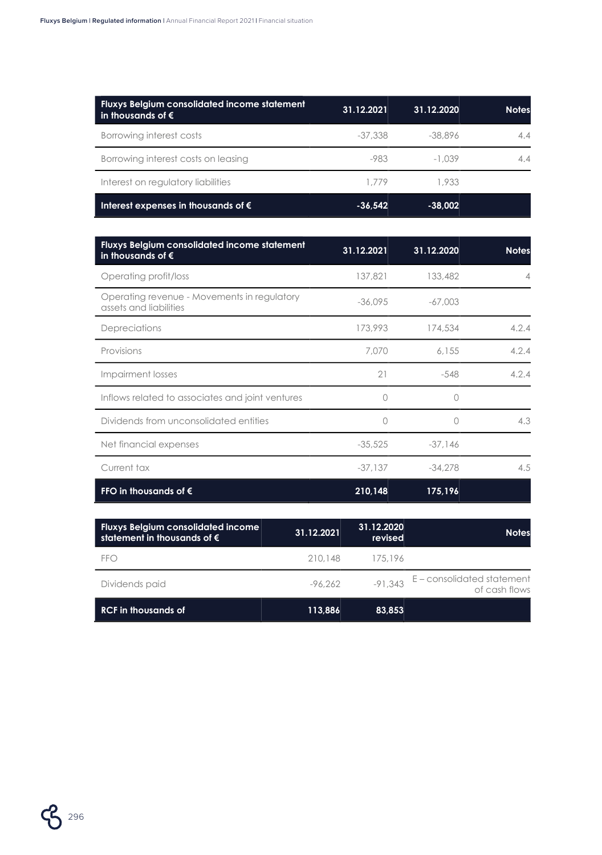| <b>Fluxys Belgium consolidated income statement</b><br>In thousands of $\bm{\epsilon}$ | 31.12.2021 | 31.12.2020 | <b>Notes</b> |
|----------------------------------------------------------------------------------------|------------|------------|--------------|
| Borrowing interest costs                                                               | -37,338    | $-38.896$  | 4.4          |
| Borrowing interest costs on leasing                                                    | -983       | $-1.039$   | 4.4          |
| Interest on regulatory liabilities                                                     | 1.779      | 1.933      |              |
| Interest expenses in thousands of $\epsilon$                                           | $-36.542$  | $-38.002$  |              |

| Fluxys Belgium consolidated income statement<br>in thousands of $\epsilon$ | 31.12.2021 | 31.12.2020         | <b>Notes</b> |
|----------------------------------------------------------------------------|------------|--------------------|--------------|
| Operating profit/loss                                                      | 137,821    | 133,482            | 4            |
| Operating revenue - Movements in regulatory<br>assets and liabilities      | $-36,095$  | $-67,003$          |              |
| Depreciations                                                              | 173,993    | 174,534            | 4.2.4        |
| Provisions                                                                 | 7.070      | 6.155              | 4.2.4        |
| Impairment losses                                                          | 21         | $-548$             | 4.2.4        |
| Inflows related to associates and joint ventures                           |            | $\left( \ \right)$ |              |
| Dividends from unconsolidated entities                                     | Ω          | Ω                  | 4.3          |
| Net financial expenses                                                     | $-35,525$  | $-37.146$          |              |
| Current tax                                                                | $-37.137$  | $-34.278$          | 4.5          |
| FFO in thousands of $\epsilon$                                             | 210,148    | 175,196            |              |

| <b>Fluxys Belgium consolidated income</b><br>statement in thousands of $\bm{\epsilon}$ | 31.12.2021 | 31.12.2020<br>revised | <b>Notes</b>                                |
|----------------------------------------------------------------------------------------|------------|-----------------------|---------------------------------------------|
| FFO                                                                                    | 210.148    | 175.196               |                                             |
| Dividends paid                                                                         | $-96.262$  | $-91,343$             | E – consolidated statement<br>of cash flows |
| RCF in thousands of                                                                    | 113.886    | 83.853                |                                             |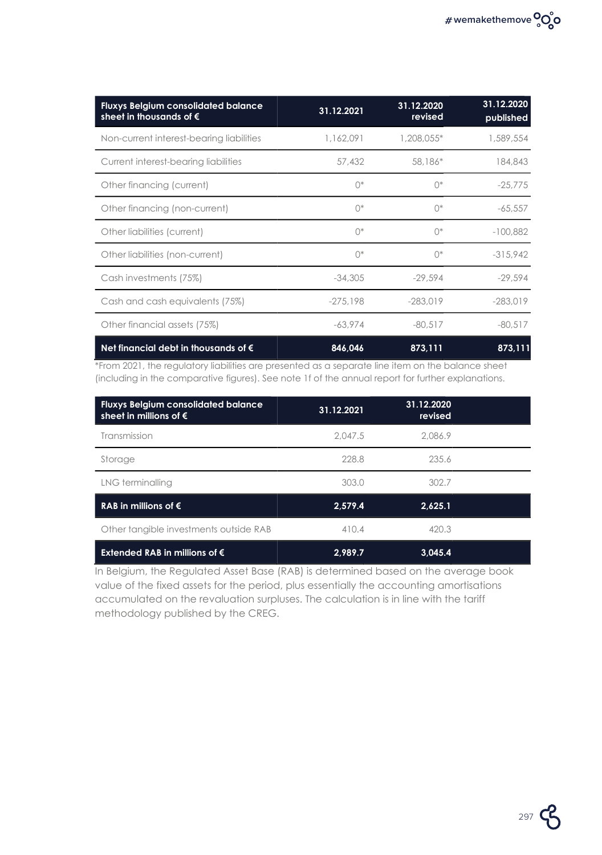| <b>Fluxys Belgium consolidated balance</b><br>sheet in thousands of $\epsilon$ | 31.12.2021  | 31.12.2020<br>revised | 31.12.2020<br>published |
|--------------------------------------------------------------------------------|-------------|-----------------------|-------------------------|
| Non-current interest-bearing liabilities                                       | 1,162,091   | 1,208,055*            | 1,589,554               |
| Current interest-bearing liabilities                                           | 57,432      | 58,186*               | 184,843                 |
| Other financing (current)                                                      | $\bigcap^*$ | $\bigcap^*$           | $-25,775$               |
| Other financing (non-current)                                                  | $\bigcap^*$ | $\bigcap^*$           | $-65,557$               |
| Other liabilities (current)                                                    | $\bigcap^*$ | $\bigcap^*$           | $-100.882$              |
| Other liabilities (non-current)                                                | $\bigcap^*$ | $\bigcap^*$           | $-315,942$              |
| Cash investments (75%)                                                         | $-34.305$   | $-29.594$             | $-29.594$               |
| Cash and cash equivalents (75%)                                                | $-275.198$  | $-283.019$            | $-283.019$              |
| Other financial assets (75%)                                                   | $-63,974$   | $-80.517$             | $-80,517$               |
| Net financial debt in thousands of $\epsilon$                                  | 846,046     | 873,111               | 873,111                 |

\*From 2021, the regulatory liabilities are presented as a separate line item on the balance sheet (including in the comparative figures). See note 1f of the annual report for further explanations.

| <b>Fluxys Belgium consolidated balance</b><br>sheet in millions of $\epsilon$ | 31.12.2021 | 31.12.2020<br>revised |  |
|-------------------------------------------------------------------------------|------------|-----------------------|--|
| Transmission                                                                  | 2.047.5    | 2.086.9               |  |
| Storage                                                                       | 228.8      | 235.6                 |  |
| LNG terminalling                                                              | 303.0      | 302.7                 |  |
| RAB in millions of $\epsilon$                                                 | 2,579.4    | 2,625.1               |  |
| Other tangible investments outside RAB                                        | 410.4      | 420.3                 |  |
| Extended RAB in millions of $\epsilon$                                        | 2,989.7    | 3.045.4               |  |

In Belgium, the Regulated Asset Base (RAB) is determined based on the average book value of the fixed assets for the period, plus essentially the accounting amortisations accumulated on the revaluation surpluses. The calculation is in line with the tariff methodology published by the CREG.